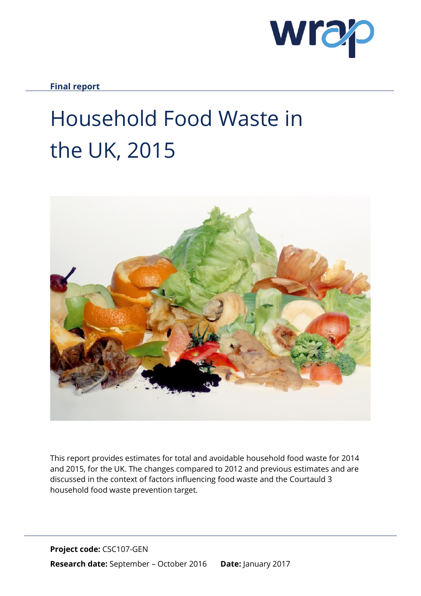

**Final report**

# Household Food Waste in the UK, 2015



This report provides estimates for total and avoidable household food waste for 2014 and 2015, for the UK. The changes compared to 2012 and previous estimates and are discussed in the context of factors influencing food waste and the Courtauld 3 household food waste prevention target.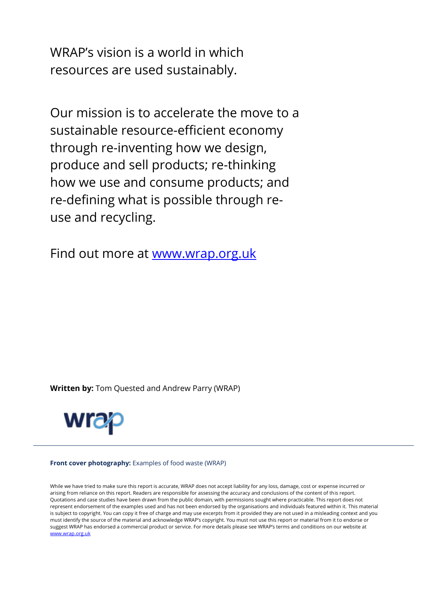WRAP's vision is a world in which resources are used sustainably.

Our mission is to accelerate the move to a sustainable resource-efficient economy through re-inventing how we design, produce and sell products; re-thinking how we use and consume products; and re-defining what is possible through reuse and recycling.

Find out more at [www.wrap.org.uk](http://www.wrap.org.uk/)

**Written by:** Tom Quested and Andrew Parry (WRAP)



#### **Front cover photography:** Examples of food waste (WRAP)

**CSC103-001**  [www.wrap.org.uk](http://www.wrap.org.uk/)While we have tried to make sure this report is accurate, WRAP does not accept liability for any loss, damage, cost or expense incurred or arising from reliance on this report. Readers are responsible for assessing the accuracy and conclusions of the content of this report. Quotations and case studies have been drawn from the public domain, with permissions sought where practicable. This report does not represent endorsement of the examples used and has not been endorsed by the organisations and individuals featured within it. This material is subject to copyright. You can copy it free of charge and may use excerpts from it provided they are not used in a misleading context and you must identify the source of the material and acknowledge WRAP's copyright. You must not use this report or material from it to endorse or suggest WRAP has endorsed a commercial product or service. For more details please see WRAP's terms and conditions on our website at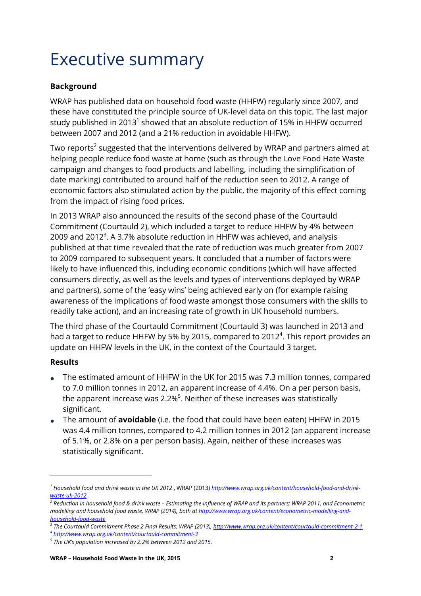# Executive summary

### **Background**

WRAP has published data on household food waste (HHFW) regularly since 2007, and these have constituted the principle source of UK-level data on this topic. The last major study published in 2013 $^{\rm 1}$  showed that an absolute reduction of 15% in HHFW occurred between 2007 and 2012 (and a 21% reduction in avoidable HHFW).

Two reports $^{\text{2}}$  suggested that the interventions delivered by WRAP and partners aimed at helping people reduce food waste at home (such as through the Love Food Hate Waste campaign and changes to food products and labelling, including the simplification of date marking) contributed to around half of the reduction seen to 2012. A range of economic factors also stimulated action by the public, the majority of this effect coming from the impact of rising food prices.

In 2013 WRAP also announced the results of the second phase of the Courtauld Commitment (Courtauld 2), which included a target to reduce HHFW by 4% between 2009 and 2012 $^3$ . A 3.7% absolute reduction in HHFW was achieved, and analysis published at that time revealed that the rate of reduction was much greater from 2007 to 2009 compared to subsequent years. It concluded that a number of factors were likely to have influenced this, including economic conditions (which will have affected consumers directly, as well as the levels and types of interventions deployed by WRAP and partners), some of the 'easy wins' being achieved early on (for example raising awareness of the implications of food waste amongst those consumers with the skills to readily take action), and an increasing rate of growth in UK household numbers.

The third phase of the Courtauld Commitment (Courtauld 3) was launched in 2013 and had a target to reduce HHFW by 5% by 2015, compared to 2012 $^4$ . This report provides an update on HHFW levels in the UK, in the context of the Courtauld 3 target.

#### **Results**

- The estimated amount of HHFW in the UK for 2015 was 7.3 million tonnes, compared to 7.0 million tonnes in 2012, an apparent increase of 4.4%. On a per person basis, the apparent increase was 2.2% $5$ . Neither of these increases was statistically significant.
- The amount of **avoidable** (i.e. the food that could have been eaten) HHFW in 2015 was 4.4 million tonnes, compared to 4.2 million tonnes in 2012 (an apparent increase of 5.1%, or 2.8% on a per person basis). Again, neither of these increases was statistically significant.

<sup>&</sup>lt;sup>1</sup> Household food and drink waste in the UK 2012 , WRAP (2013) <u>http://www.wrap.org.uk/content/household-food-and-drink-</u> *[waste-uk-2012](http://www.wrap.org.uk/content/household-food-and-drink-waste-uk-2012)*

*<sup>2</sup> Reduction in household food & drink waste – Estimating the influence of WRAP and its partners; WRAP 2011, and Econometric modelling and household food waste, WRAP (2014), both a[t http://www.wrap.org.uk/content/econometric-modelling-and](http://www.wrap.org.uk/content/econometric-modelling-and-household-food-waste)[household-food-waste](http://www.wrap.org.uk/content/econometric-modelling-and-household-food-waste)*

*<sup>3</sup> The Courtauld Commitment Phase 2 Final Results; WRAP (2013)[, http://www.wrap.org.uk/content/courtauld-commitment-2-1](http://www.wrap.org.uk/content/courtauld-commitment-2-1)*

*<sup>4</sup> <http://www.wrap.org.uk/content/courtauld-commitment-3>*

*<sup>5</sup> The UK's population increased by 2.2% between 2012 and 2015.*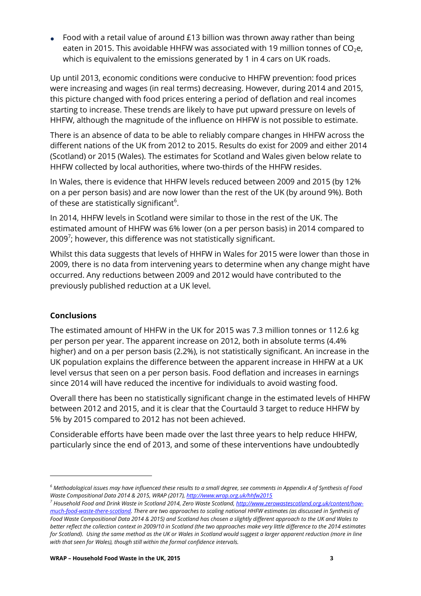Food with a retail value of around £13 billion was thrown away rather than being eaten in 2015. This avoidable HHFW was associated with 19 million tonnes of  $CO<sub>2</sub>e$ , which is equivalent to the emissions generated by 1 in 4 cars on UK roads.

Up until 2013, economic conditions were conducive to HHFW prevention: food prices were increasing and wages (in real terms) decreasing. However, during 2014 and 2015, this picture changed with food prices entering a period of deflation and real incomes starting to increase. These trends are likely to have put upward pressure on levels of HHFW, although the magnitude of the influence on HHFW is not possible to estimate.

There is an absence of data to be able to reliably compare changes in HHFW across the different nations of the UK from 2012 to 2015. Results do exist for 2009 and either 2014 (Scotland) or 2015 (Wales). The estimates for Scotland and Wales given below relate to HHFW collected by local authorities, where two-thirds of the HHFW resides.

In Wales, there is evidence that HHFW levels reduced between 2009 and 2015 (by 12% on a per person basis) and are now lower than the rest of the UK (by around 9%). Both of these are statistically significant $^6\!$ .

In 2014, HHFW levels in Scotland were similar to those in the rest of the UK. The estimated amount of HHFW was 6% lower (on a per person basis) in 2014 compared to 2009 $^7$ ; however, this difference was not statistically significant.

Whilst this data suggests that levels of HHFW in Wales for 2015 were lower than those in 2009, there is no data from intervening years to determine when any change might have occurred. Any reductions between 2009 and 2012 would have contributed to the previously published reduction at a UK level.

#### **Conclusions**

The estimated amount of HHFW in the UK for 2015 was 7.3 million tonnes or 112.6 kg per person per year. The apparent increase on 2012, both in absolute terms (4.4% higher) and on a per person basis (2.2%), is not statistically significant. An increase in the UK population explains the difference between the apparent increase in HHFW at a UK level versus that seen on a per person basis. Food deflation and increases in earnings since 2014 will have reduced the incentive for individuals to avoid wasting food.

Overall there has been no statistically significant change in the estimated levels of HHFW between 2012 and 2015, and it is clear that the Courtauld 3 target to reduce HHFW by 5% by 2015 compared to 2012 has not been achieved.

Considerable efforts have been made over the last three years to help reduce HHFW, particularly since the end of 2013, and some of these interventions have undoubtedly

*<sup>6</sup> Methodological issues may have influenced these results to a small degree, see comments in Appendix A of Synthesis of Food Waste Compositional Data 2014 & 2015, WRAP (2017),<http://www.wrap.org.uk/hhfw2015>*

*<sup>7</sup> Household Food and Drink Waste in Scotland 2014, Zero Waste Scotland[, http://www.zerowastescotland.org.uk/content/how](http://www.zerowastescotland.org.uk/content/how-much-food-waste-there-scotland)[much-food-waste-there-scotland.](http://www.zerowastescotland.org.uk/content/how-much-food-waste-there-scotland) There are two approaches to scaling national HHFW estimates (as discussed in Synthesis of Food Waste Compositional Data 2014 & 2015) and Scotland has chosen a slightly different approach to the UK and Wales to better reflect the collection context in 2009/10 in Scotland (the two approaches make very little difference to the 2014 estimates for Scotland). Using the same method as the UK or Wales in Scotland would suggest a larger apparent reduction (more in line with that seen for Wales), though still within the formal confidence intervals.*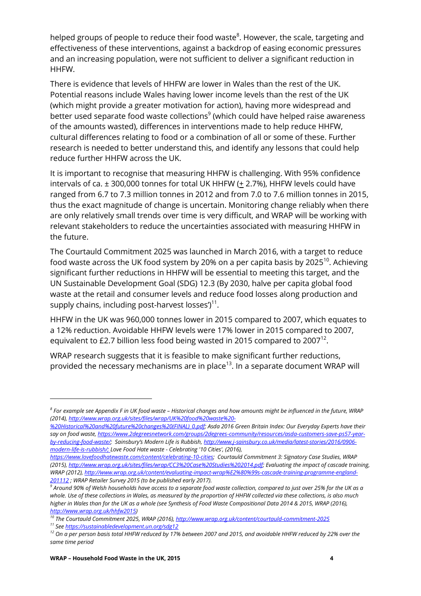helped groups of people to reduce their food waste $^8$ . However, the scale, targeting and effectiveness of these interventions, against a backdrop of easing economic pressures and an increasing population, were not sufficient to deliver a significant reduction in HHFW.

There is evidence that levels of HHFW are lower in Wales than the rest of the UK. Potential reasons include Wales having lower income levels than the rest of the UK (which might provide a greater motivation for action), having more widespread and better used separate food waste collections $^9$  (which could have helped raise awareness of the amounts wasted), differences in interventions made to help reduce HHFW, cultural differences relating to food or a combination of all or some of these. Further research is needed to better understand this, and identify any lessons that could help reduce further HHFW across the UK.

It is important to recognise that measuring HHFW is challenging. With 95% confidence intervals of ca. ± 300,000 tonnes for total UK HHFW (+ 2.7%), HHFW levels could have ranged from 6.7 to 7.3 million tonnes in 2012 and from 7.0 to 7.6 million tonnes in 2015, thus the exact magnitude of change is uncertain. Monitoring change reliably when there are only relatively small trends over time is very difficult, and WRAP will be working with relevant stakeholders to reduce the uncertainties associated with measuring HHFW in the future.

The Courtauld Commitment 2025 was launched in March 2016, with a target to reduce food waste across the UK food system by 20% on a per capita basis by 2025 $^{10}$ . Achieving significant further reductions in HHFW will be essential to meeting this target, and the UN Sustainable Development Goal (SDG) 12.3 (By 2030, halve per capita global food waste at the retail and consumer levels and reduce food losses along production and supply chains, including post-harvest losses') $^{\rm 11}.$ 

HHFW in the UK was 960,000 tonnes lower in 2015 compared to 2007, which equates to a 12% reduction. Avoidable HHFW levels were 17% lower in 2015 compared to 2007, equivalent to £2.7 billion less food being wasted in 2015 compared to 2007 $^{12}$ .

WRAP research suggests that it is feasible to make significant further reductions, provided the necessary mechanisms are in place<sup>13</sup>. In a separate document WRAP will

 $\overline{\phantom{a}}$ 

*<sup>8</sup> For example see Appendix F in UK food waste – Historical changes and how amounts might be influenced in the future, WRAP (2014)[, http://www.wrap.org.uk/sites/files/wrap/UK%20food%20waste%20-](http://www.wrap.org.uk/sites/files/wrap/UK%20food%20waste%20-%20Historical%20and%20future%20changes%20(FINAL)_0.pdf)*

*[<sup>%20</sup>Historical%20and%20future%20changes%20\(FINAL\)\\_0.pdf;](http://www.wrap.org.uk/sites/files/wrap/UK%20food%20waste%20-%20Historical%20and%20future%20changes%20(FINAL)_0.pdf) Asda 2016 Green Britain Index: Our Everyday Experts have their say on food waste[, https://www.2degreesnetwork.com/groups/2degrees-community/resources/asda-customers-save-ps57-year](https://www.2degreesnetwork.com/groups/2degrees-community/resources/asda-customers-save-ps57-year-by-reducing-food-waste/)[by-reducing-food-waste/](https://www.2degreesnetwork.com/groups/2degrees-community/resources/asda-customers-save-ps57-year-by-reducing-food-waste/); Sainsbury's Modern Life is Rubbish, [http://www.j-sainsbury.co.uk/media/latest-stories/2016/0906](http://www.j-sainsbury.co.uk/media/latest-stories/2016/0906-modern-life-is-rubbish/) [modern-life-is-rubbish/;](http://www.j-sainsbury.co.uk/media/latest-stories/2016/0906-modern-life-is-rubbish/) Love Food Hate waste - Celebrating '10 Cities', (2016),* 

*[https://www.lovefoodhatewaste.com/content/celebrating-10-cities;](https://www.lovefoodhatewaste.com/content/celebrating-10-cities) Courtauld Commitment 3: Signatory Case Studies, WRAP (2015)[, http://www.wrap.org.uk/sites/files/wrap/CC3%20Case%20Studies%202014.pdf;](http://www.wrap.org.uk/sites/files/wrap/CC3%20Case%20Studies%202014.pdf) Evaluating the impact of cascade training, WRAP (2012), [http://www.wrap.org.uk/content/evaluating-impact-wrap%E2%80%99s-cascade-training-programme-england-](http://www.wrap.org.uk/content/evaluating-impact-wrap%E2%80%99s-cascade-training-programme-england-201112)[201112](http://www.wrap.org.uk/content/evaluating-impact-wrap%E2%80%99s-cascade-training-programme-england-201112) ; WRAP Retailer Survey 2015 (to be published early 2017).* 

*<sup>9</sup> Around 90% of Welsh households have access to a separate food waste collection, compared to just over 25% for the UK as a whole. Use of these collections in Wales, as measured by the proportion of HHFW collected via these collections, is also much higher in Wales than for the UK as a whole (see Synthesis of Food Waste Compositional Data 2014 & 2015, WRAP (2016), [http://www.wrap.org.uk/hhfw2015\)](http://www.wrap.org.uk/hhfw2015)*

*<sup>10</sup> The Courtauld Commitment 2025, WRAP (2016)[, http://www.wrap.org.uk/content/courtauld-commitment-2025](http://www.wrap.org.uk/content/courtauld-commitment-2025)*

*<sup>11</sup> Se[e https://sustainabledevelopment.un.org/sdg12](https://sustainabledevelopment.un.org/sdg12)*

*<sup>12</sup> On a per person basis total HHFW reduced by 17% between 2007 and 2015, and avoidable HHFW reduced by 22% over the same time period*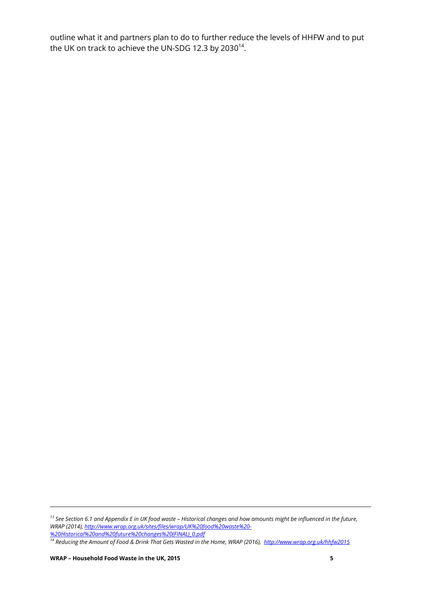outline what it and partners plan to do to further reduce the levels of HHFW and to put the UK on track to achieve the UN-SDG 12.3 by 2030 $^{\rm 14}$ .

*<sup>13</sup> See Section 6.1 and Appendix E in UK food waste – Historical changes and how amounts might be influenced in the future, WRAP (2014)[, http://www.wrap.org.uk/sites/files/wrap/UK%20food%20waste%20-](http://www.wrap.org.uk/sites/files/wrap/UK%20food%20waste%20-%20Historical%20and%20future%20changes%20(FINAL)_0.pdf) [%20Historical%20and%20future%20changes%20\(FINAL\)\\_0.pdf](http://www.wrap.org.uk/sites/files/wrap/UK%20food%20waste%20-%20Historical%20and%20future%20changes%20(FINAL)_0.pdf)*

*<sup>14</sup> Reducing the Amount of Food & Drink That Gets Wasted in the Home, WRAP (2016), http://www.wrap.org.uk/hhfw2015*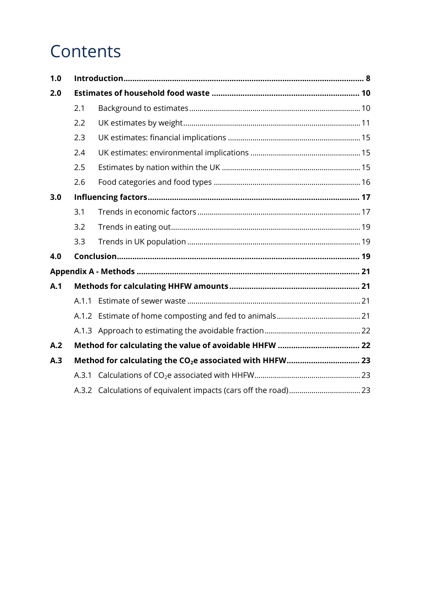# **Contents**

| 1.0 |       |  |  |  |  |  |
|-----|-------|--|--|--|--|--|
| 2.0 |       |  |  |  |  |  |
|     | 2.1   |  |  |  |  |  |
|     | 2.2   |  |  |  |  |  |
|     | 2.3   |  |  |  |  |  |
|     | 2.4   |  |  |  |  |  |
|     | 2.5   |  |  |  |  |  |
|     | 2.6   |  |  |  |  |  |
| 3.0 |       |  |  |  |  |  |
|     | 3.1   |  |  |  |  |  |
|     | 3.2   |  |  |  |  |  |
|     | 3.3   |  |  |  |  |  |
| 4.0 |       |  |  |  |  |  |
|     |       |  |  |  |  |  |
| A.1 |       |  |  |  |  |  |
|     | A.1.1 |  |  |  |  |  |
|     |       |  |  |  |  |  |
|     |       |  |  |  |  |  |
| A.2 |       |  |  |  |  |  |
| A.3 |       |  |  |  |  |  |
|     | A.3.1 |  |  |  |  |  |
|     |       |  |  |  |  |  |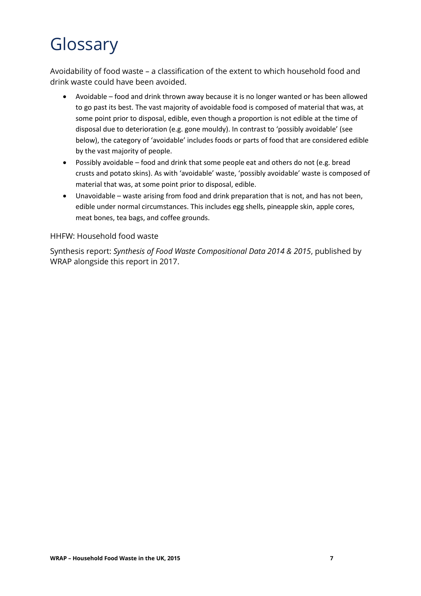# Glossary

Avoidability of food waste – a classification of the extent to which household food and drink waste could have been avoided.

- Avoidable food and drink thrown away because it is no longer wanted or has been allowed to go past its best. The vast majority of avoidable food is composed of material that was, at some point prior to disposal, edible, even though a proportion is not edible at the time of disposal due to deterioration (e.g. gone mouldy). In contrast to 'possibly avoidable' (see below), the category of 'avoidable' includes foods or parts of food that are considered edible by the vast majority of people.
- Possibly avoidable food and drink that some people eat and others do not (e.g. bread crusts and potato skins). As with 'avoidable' waste, 'possibly avoidable' waste is composed of material that was, at some point prior to disposal, edible.
- Unavoidable waste arising from food and drink preparation that is not, and has not been, edible under normal circumstances. This includes egg shells, pineapple skin, apple cores, meat bones, tea bags, and coffee grounds.

#### HHFW: Household food waste

Synthesis report: *Synthesis of Food Waste Compositional Data 2014 & 2015*, published by WRAP alongside this report in 2017.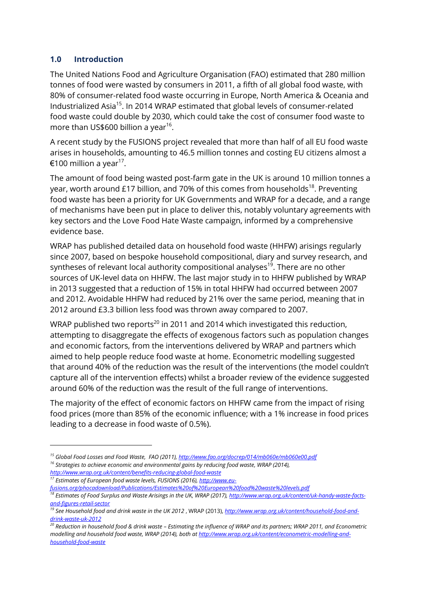#### <span id="page-8-0"></span>**1.0 Introduction**

l

The United Nations Food and Agriculture Organisation (FAO) estimated that 280 million tonnes of food were wasted by consumers in 2011, a fifth of all global food waste, with 80% of consumer-related food waste occurring in Europe, North America & Oceania and Industrialized Asia<sup>15</sup>. In 2014 WRAP estimated that global levels of consumer-related food waste could double by 2030, which could take the cost of consumer food waste to more than US\$600 billion a year $^{\rm 16}$ .

A recent study by the FUSIONS project revealed that more than half of all EU food waste arises in households, amounting to 46.5 million tonnes and costing EU citizens almost a  $\mathsf{\in}$ 100 million a year $^{17}$ .

The amount of food being wasted post-farm gate in the UK is around 10 million tonnes a year, worth around £17 billion, and 70% of this comes from households<sup>18</sup>. Preventing food waste has been a priority for UK Governments and WRAP for a decade, and a range of mechanisms have been put in place to deliver this, notably voluntary agreements with key sectors and the Love Food Hate Waste campaign, informed by a comprehensive evidence base.

WRAP has published detailed data on household food waste (HHFW) arisings regularly since 2007, based on bespoke household compositional, diary and survey research, and syntheses of relevant local authority compositional analyses<sup>19</sup>. There are no other sources of UK-level data on HHFW. The last major study in to HHFW published by WRAP in 2013 suggested that a reduction of 15% in total HHFW had occurred between 2007 and 2012. Avoidable HHFW had reduced by 21% over the same period, meaning that in 2012 around £3.3 billion less food was thrown away compared to 2007.

WRAP published two reports<sup>20</sup> in 2011 and 2014 which investigated this reduction, attempting to disaggregate the effects of exogenous factors such as population changes and economic factors, from the interventions delivered by WRAP and partners which aimed to help people reduce food waste at home. Econometric modelling suggested that around 40% of the reduction was the result of the interventions (the model couldn't capture all of the intervention effects) whilst a broader review of the evidence suggested around 60% of the reduction was the result of the full range of interventions.

The majority of the effect of economic factors on HHFW came from the impact of rising food prices (more than 85% of the economic influence; with a 1% increase in food prices leading to a decrease in food waste of 0.5%).

- *<sup>16</sup> Strategies to achieve economic and environmental gains by reducing food waste, WRAP (2014), <http://www.wrap.org.uk/content/benefits-reducing-global-food-waste>*
- *<sup>17</sup> Estimates of European food waste levels, FUSIONS (2016)[, http://www.eu](http://www.eu-fusions.org/phocadownload/Publications/Estimates%20of%20European%20food%20waste%20levels.pdf)[fusions.org/phocadownload/Publications/Estimates%20of%20European%20food%20waste%20levels.pdf](http://www.eu-fusions.org/phocadownload/Publications/Estimates%20of%20European%20food%20waste%20levels.pdf) <sup>18</sup> Estimates of Food Surplus and Waste Arisings in the UK, WRAP (2017)[, http://www.wrap.org.uk/content/uk-handy-waste-facts-](http://www.wrap.org.uk/content/uk-handy-waste-facts-and-figures-retail-sector)*

*<sup>15</sup> Global Food Losses and Food Waste, FAO (2011)[, http://www.fao.org/docrep/014/mb060e/mb060e00.pdf](http://www.fao.org/docrep/014/mb060e/mb060e00.pdf)*

*[and-figures-retail-sector](http://www.wrap.org.uk/content/uk-handy-waste-facts-and-figures-retail-sector)*

<sup>&</sup>lt;sup>19</sup> See Household food and drink waste in the UK 2012, WRAP (2013), *[http://www.wrap.org.uk/content/household-food-and](http://www.wrap.org.uk/content/household-food-and-drink-waste-uk-2012)[drink-waste-uk-2012](http://www.wrap.org.uk/content/household-food-and-drink-waste-uk-2012)*

*<sup>20</sup> Reduction in household food & drink waste – Estimating the influence of WRAP and its partners; WRAP 2011, and Econometric modelling and household food waste, WRAP (2014), both a[t http://www.wrap.org.uk/content/econometric-modelling-and](http://www.wrap.org.uk/content/econometric-modelling-and-household-food-waste)[household-food-waste](http://www.wrap.org.uk/content/econometric-modelling-and-household-food-waste)*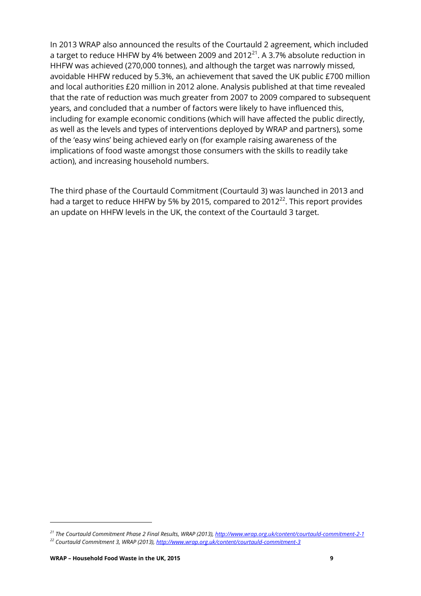In 2013 WRAP also announced the results of the Courtauld 2 agreement, which included a target to reduce HHFW by 4% between 2009 and 2012 $^{21}$ . A 3.7% absolute reduction in HHFW was achieved (270,000 tonnes), and although the target was narrowly missed, avoidable HHFW reduced by 5.3%, an achievement that saved the UK public £700 million and local authorities £20 million in 2012 alone. Analysis published at that time revealed that the rate of reduction was much greater from 2007 to 2009 compared to subsequent years, and concluded that a number of factors were likely to have influenced this, including for example economic conditions (which will have affected the public directly, as well as the levels and types of interventions deployed by WRAP and partners), some of the 'easy wins' being achieved early on (for example raising awareness of the implications of food waste amongst those consumers with the skills to readily take action), and increasing household numbers.

The third phase of the Courtauld Commitment (Courtauld 3) was launched in 2013 and had a target to reduce HHFW by 5% by 2015, compared to 2012 $^{22}$ . This report provides an update on HHFW levels in the UK, the context of the Courtauld 3 target.

*<sup>21</sup> The Courtauld Commitment Phase 2 Final Results, WRAP (2013)[, http://www.wrap.org.uk/content/courtauld-commitment-2-1](http://www.wrap.org.uk/content/courtauld-commitment-2-1) <sup>22</sup> Courtauld Commitment 3, WRAP (2013)[, http://www.wrap.org.uk/content/courtauld-commitment-3](http://www.wrap.org.uk/content/courtauld-commitment-3)*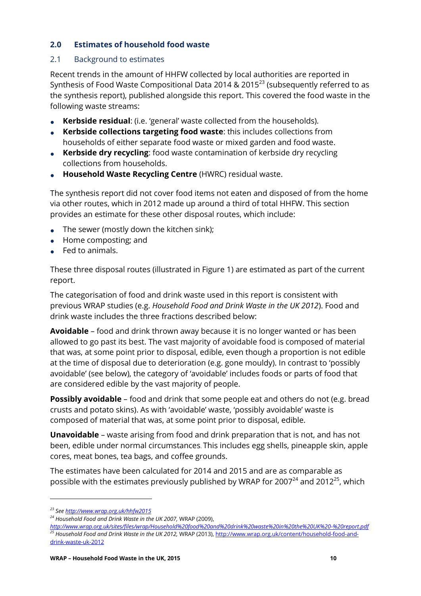#### <span id="page-10-0"></span>**2.0 Estimates of household food waste**

#### <span id="page-10-1"></span>2.1 Background to estimates

Recent trends in the amount of HHFW collected by local authorities are reported in Synthesis of Food Waste Compositional Data 2014 & 2015 $^{23}$  (subsequently referred to as the synthesis report), published alongside this report. This covered the food waste in the following waste streams:

- **Kerbside residual:** (i.e. 'general' waste collected from the households).
- **Kerbside collections targeting food waste:** this includes collections from households of either separate food waste or mixed garden and food waste.
- **Kerbside dry recycling**: food waste contamination of kerbside dry recycling collections from households.
- **Household Waste Recycling Centre** (HWRC) residual waste.

The synthesis report did not cover food items not eaten and disposed of from the home via other routes, which in 2012 made up around a third of total HHFW. This section provides an estimate for these other disposal routes, which include:

- The sewer (mostly down the kitchen sink);
- Home composting; and
- Fed to animals.

These three disposal routes (illustrated in Figure 1) are estimated as part of the current report.

The categorisation of food and drink waste used in this report is consistent with previous WRAP studies (e.g. *Household Food and Drink Waste in the UK 2012*). Food and drink waste includes the three fractions described below:

**Avoidable** – food and drink thrown away because it is no longer wanted or has been allowed to go past its best. The vast majority of avoidable food is composed of material that was, at some point prior to disposal, edible, even though a proportion is not edible at the time of disposal due to deterioration (e.g. gone mouldy). In contrast to 'possibly avoidable' (see below), the category of 'avoidable' includes foods or parts of food that are considered edible by the vast majority of people.

**Possibly avoidable** – food and drink that some people eat and others do not (e.g. bread crusts and potato skins). As with 'avoidable' waste, 'possibly avoidable' waste is composed of material that was, at some point prior to disposal, edible.

**Unavoidable** – waste arising from food and drink preparation that is not, and has not been, edible under normal circumstances. This includes egg shells, pineapple skin, apple cores, meat bones, tea bags, and coffee grounds.

The estimates have been calculated for 2014 and 2015 and are as comparable as possible with the estimates previously published by WRAP for 2007<sup>24</sup> and 2012<sup>25</sup>, which

*<sup>23</sup> Se[e http://www.wrap.org.uk/hhfw2015](http://www.wrap.org.uk/hhfw2015)*

*<sup>24</sup> Household Food and Drink Waste in the UK 2007,* WRAP (2009),

*<http://www.wrap.org.uk/sites/files/wrap/Household%20food%20and%20drink%20waste%20in%20the%20UK%20-%20report.pdf> <sup>25</sup> Household Food and Drink Waste in the UK 2012,* WRAP (2013), [http://www.wrap.org.uk/content/household-food-and](http://www.wrap.org.uk/content/household-food-and-drink-waste-uk-2012)[drink-waste-uk-2012](http://www.wrap.org.uk/content/household-food-and-drink-waste-uk-2012)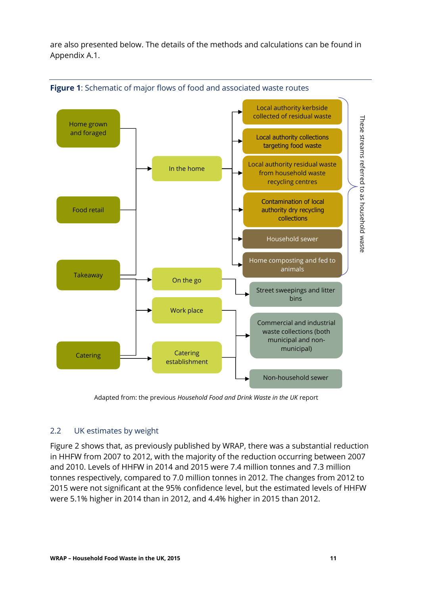are also presented below. The details of the methods and calculations can be found in Appendix A.1.



**Figure 1**: Schematic of major flows of food and associated waste routes

Adapted from: the previous *Household Food and Drink Waste in the UK* report

## <span id="page-11-0"></span>2.2 UK estimates by weight

Figure 2 shows that, as previously published by WRAP, there was a substantial reduction in HHFW from 2007 to 2012, with the majority of the reduction occurring between 2007 and 2010. Levels of HHFW in 2014 and 2015 were 7.4 million tonnes and 7.3 million tonnes respectively, compared to 7.0 million tonnes in 2012. The changes from 2012 to 2015 were not significant at the 95% confidence level, but the estimated levels of HHFW were 5.1% higher in 2014 than in 2012, and 4.4% higher in 2015 than 2012.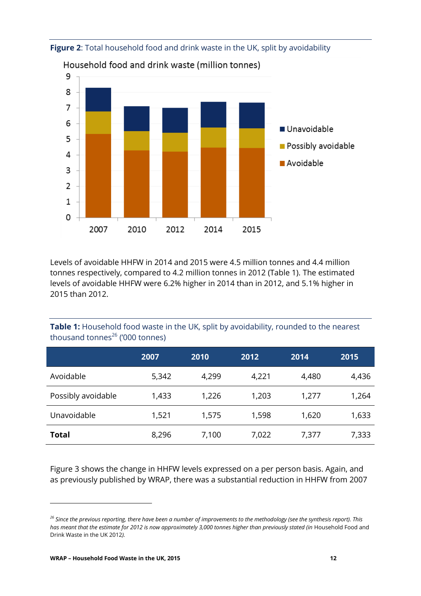

#### **Figure 2**: Total household food and drink waste in the UK, split by avoidability

Household food and drink waste (million tonnes)

Levels of avoidable HHFW in 2014 and 2015 were 4.5 million tonnes and 4.4 million tonnes respectively, compared to 4.2 million tonnes in 2012 (Table 1). The estimated levels of avoidable HHFW were 6.2% higher in 2014 than in 2012, and 5.1% higher in 2015 than 2012.

**Table 1:** Household food waste in the UK, split by avoidability, rounded to the nearest thousand tonnes $^{26}$  ('000 tonnes)

|                    | 2007  | 2010  | 2012  | 2014  | 2015  |
|--------------------|-------|-------|-------|-------|-------|
| Avoidable          | 5,342 | 4,299 | 4,221 | 4,480 | 4,436 |
| Possibly avoidable | 1,433 | 1,226 | 1,203 | 1,277 | 1,264 |
| Unavoidable        | 1,521 | 1,575 | 1,598 | 1,620 | 1,633 |
| <b>Total</b>       | 8,296 | 7,100 | 7,022 | 7,377 | 7,333 |

Figure 3 shows the change in HHFW levels expressed on a per person basis. Again, and as previously published by WRAP, there was a substantial reduction in HHFW from 2007

 $\overline{\phantom{a}}$ 

*<sup>26</sup> Since the previous reporting, there have been a number of improvements to the methodology (see the synthesis report). This*  has meant that the estimate for 2012 is now approximately 3,000 tonnes higher than previously stated (in Household Food and Drink Waste in the UK 2012*).*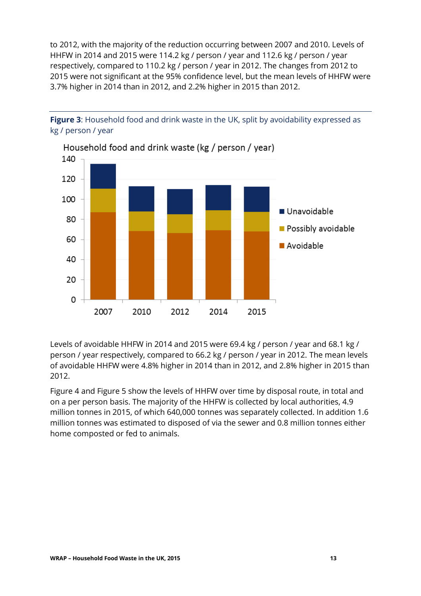to 2012, with the majority of the reduction occurring between 2007 and 2010. Levels of HHFW in 2014 and 2015 were 114.2 kg / person / year and 112.6 kg / person / year respectively, compared to 110.2 kg / person / year in 2012. The changes from 2012 to 2015 were not significant at the 95% confidence level, but the mean levels of HHFW were 3.7% higher in 2014 than in 2012, and 2.2% higher in 2015 than 2012.



**Figure 3:** Household food and drink waste in the UK, split by avoidability expressed as kg / person / year

Levels of avoidable HHFW in 2014 and 2015 were 69.4 kg / person / year and 68.1 kg / person / year respectively, compared to 66.2 kg / person / year in 2012. The mean levels of avoidable HHFW were 4.8% higher in 2014 than in 2012, and 2.8% higher in 2015 than 2012.

[Figure 4](#page-14-0) and [Figure 5](#page-14-1) show the levels of HHFW over time by disposal route, in total and on a per person basis. The majority of the HHFW is collected by local authorities, 4.9 million tonnes in 2015, of which 640,000 tonnes was separately collected. In addition 1.6 million tonnes was estimated to disposed of via the sewer and 0.8 million tonnes either home composted or fed to animals.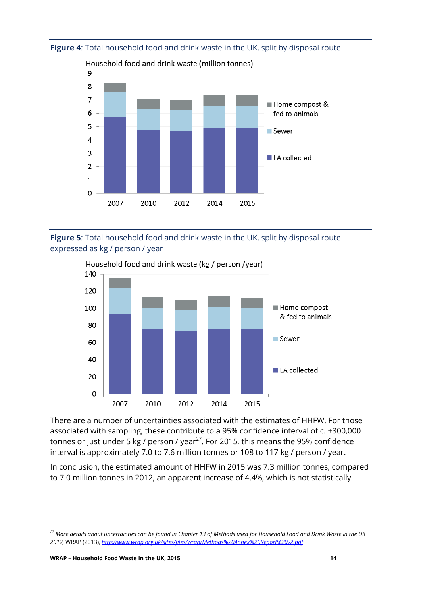

#### <span id="page-14-0"></span>**Figure 4**: Total household food and drink waste in the UK, split by disposal route

Household food and drink waste (million tonnes)

<span id="page-14-1"></span>



There are a number of uncertainties associated with the estimates of HHFW. For those associated with sampling, these contribute to a 95% confidence interval of c. ±300,000 tonnes or just under 5 kg / person / year<sup>27</sup>. For 2015, this means the 95% confidence interval is approximately 7.0 to 7.6 million tonnes or 108 to 117 kg / person / year.

In conclusion, the estimated amount of HHFW in 2015 was 7.3 million tonnes, compared to 7.0 million tonnes in 2012, an apparent increase of 4.4%, which is not statistically

*<sup>27</sup> More details about uncertainties can be found in Chapter 13 of Methods used for Household Food and Drink Waste in the UK 2012,* WRAP (2013), *<http://www.wrap.org.uk/sites/files/wrap/Methods%20Annex%20Report%20v2.pdf>*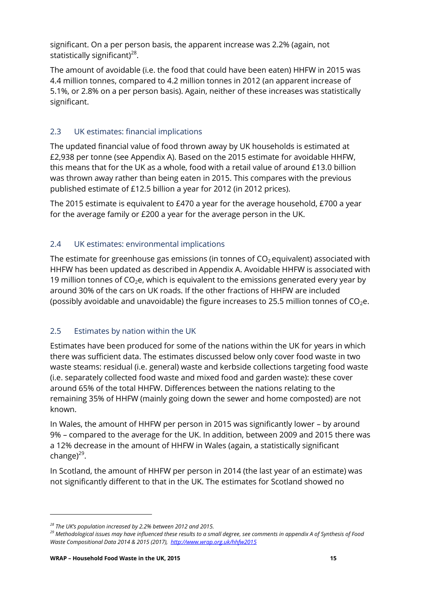significant. On a per person basis, the apparent increase was 2.2% (again, not statistically significant) $^{28}$ .

The amount of avoidable (i.e. the food that could have been eaten) HHFW in 2015 was 4.4 million tonnes, compared to 4.2 million tonnes in 2012 (an apparent increase of 5.1%, or 2.8% on a per person basis). Again, neither of these increases was statistically significant.

# <span id="page-15-0"></span>2.3 UK estimates: financial implications

The updated financial value of food thrown away by UK households is estimated at £2,938 per tonne (see Appendix A). Based on the 2015 estimate for avoidable HHFW, this means that for the UK as a whole, food with a retail value of around £13.0 billion was thrown away rather than being eaten in 2015. This compares with the previous published estimate of £12.5 billion a year for 2012 (in 2012 prices).

The 2015 estimate is equivalent to £470 a year for the average household, £700 a year for the average family or £200 a year for the average person in the UK.

# <span id="page-15-1"></span>2.4 UK estimates: environmental implications

The estimate for greenhouse gas emissions (in tonnes of  $CO<sub>2</sub>$  equivalent) associated with HHFW has been updated as described in Appendix A. Avoidable HHFW is associated with 19 million tonnes of  $CO<sub>2</sub>e$ , which is equivalent to the emissions generated every year by around 30% of the cars on UK roads. If the other fractions of HHFW are included (possibly avoidable and unavoidable) the figure increases to 25.5 million tonnes of  $CO<sub>2</sub>e$ .

## <span id="page-15-2"></span>2.5 Estimates by nation within the UK

Estimates have been produced for some of the nations within the UK for years in which there was sufficient data. The estimates discussed below only cover food waste in two waste steams: residual (i.e. general) waste and kerbside collections targeting food waste (i.e. separately collected food waste and mixed food and garden waste): these cover around 65% of the total HHFW. Differences between the nations relating to the remaining 35% of HHFW (mainly going down the sewer and home composted) are not known.

In Wales, the amount of HHFW per person in 2015 was significantly lower – by around 9% – compared to the average for the UK. In addition, between 2009 and 2015 there was a 12% decrease in the amount of HHFW in Wales (again, a statistically significant change)<sup>29</sup>.

In Scotland, the amount of HHFW per person in 2014 (the last year of an estimate) was not significantly different to that in the UK. The estimates for Scotland showed no

*<sup>28</sup> The UK's population increased by 2.2% between 2012 and 2015.*

*<sup>29</sup> Methodological issues may have influenced these results to a small degree, see comments in appendix A of Synthesis of Food Waste Compositional Data 2014 & 2015 (2017),<http://www.wrap.org.uk/hhfw2015>*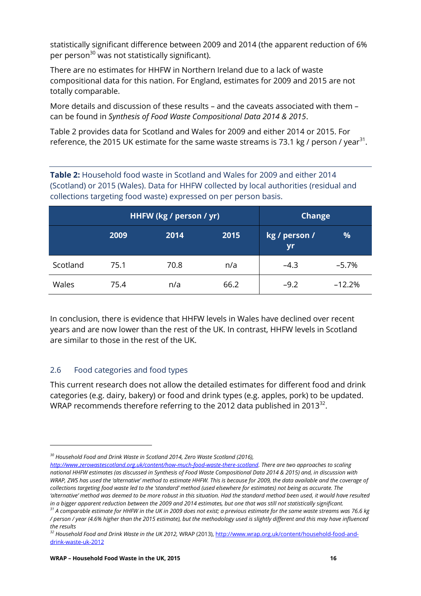statistically significant difference between 2009 and 2014 (the apparent reduction of 6% per person<sup>30</sup> was not statistically significant).

There are no estimates for HHFW in Northern Ireland due to a lack of waste compositional data for this nation. For England, estimates for 2009 and 2015 are not totally comparable.

More details and discussion of these results – and the caveats associated with them – can be found in *Synthesis of Food Waste Compositional Data 2014 & 2015*.

Table 2 provides data for Scotland and Wales for 2009 and either 2014 or 2015. For reference, the 2015 UK estimate for the same waste streams is 73.1 kg / person / year $^{31}$ .

**Table 2:** Household food waste in Scotland and Wales for 2009 and either 2014 (Scotland) or 2015 (Wales). Data for HHFW collected by local authorities (residual and collections targeting food waste) expressed on per person basis.

|          |      | HHFW (kg / person / yr) | <b>Change</b> |                     |          |
|----------|------|-------------------------|---------------|---------------------|----------|
|          | 2009 | 2014                    | 2015          | kg / person /<br>yr | %        |
| Scotland | 75.1 | 70.8                    | n/a           | $-4.3$              | $-5.7\%$ |
| Wales    | 75.4 | n/a                     | 66.2          | $-9.2$              | $-12.2%$ |

In conclusion, there is evidence that HHFW levels in Wales have declined over recent years and are now lower than the rest of the UK. In contrast, HHFW levels in Scotland are similar to those in the rest of the UK.

#### <span id="page-16-0"></span>2.6 Food categories and food types

l

This current research does not allow the detailed estimates for different food and drink categories (e.g. dairy, bakery) or food and drink types (e.g. apples, pork) to be updated. WRAP recommends therefore referring to the 2012 data published in 2013 $^{32}$ .

*<sup>30</sup> Household Food and Drink Waste in Scotland 2014, Zero Waste Scotland (2016),* 

*[http://www.zerowastescotland.org.uk/content/how-much-food-waste-there-scotland.](http://www.zerowastescotland.org.uk/content/how-much-food-waste-there-scotland) There are two approaches to scaling national HHFW estimates (as discussed in Synthesis of Food Waste Compositional Data 2014 & 2015) and, in discussion with WRAP, ZWS has used the 'alternative' method to estimate HHFW. This is because for 2009, the data available and the coverage of collections targeting food waste led to the 'standard' method (used elsewhere for estimates) not being as accurate. The*  'alternative' method was deemed to be more robust in this situation. Had the standard method been used, it would have resulted *in a bigger apparent reduction between the 2009 and 2014 estimates, but one that was still not statistically significant.*

*<sup>31</sup> A comparable estimate for HHFW in the UK in 2009 does not exist; a previous estimate for the same waste streams was 76.6 kg / person / year (4.6% higher than the 2015 estimate), but the methodology used is slightly different and this may have influenced the results*

*<sup>32</sup> Household Food and Drink Waste in the UK 2012,* WRAP (2013), [http://www.wrap.org.uk/content/household-food-and](http://www.wrap.org.uk/content/household-food-and-drink-waste-uk-2012)[drink-waste-uk-2012](http://www.wrap.org.uk/content/household-food-and-drink-waste-uk-2012)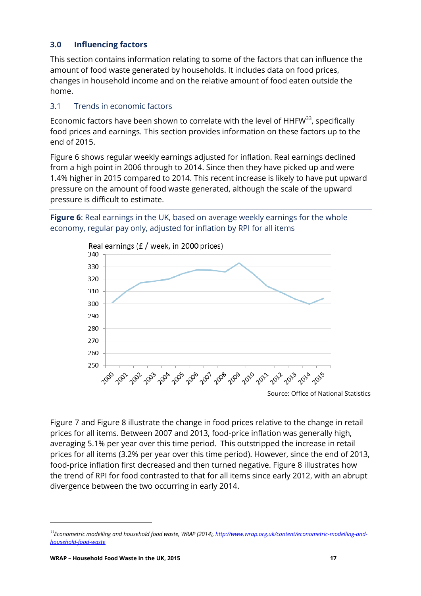#### <span id="page-17-0"></span>**3.0 Influencing factors**

This section contains information relating to some of the factors that can influence the amount of food waste generated by households. It includes data on food prices, changes in household income and on the relative amount of food eaten outside the home.

#### <span id="page-17-1"></span>3.1 Trends in economic factors

Economic factors have been shown to correlate with the level of  $HHFW<sup>33</sup>$ , specifically food prices and earnings. This section provides information on these factors up to the end of 2015.

[Figure 6](#page-17-2) shows regular weekly earnings adjusted for inflation. Real earnings declined from a high point in 2006 through to 2014. Since then they have picked up and were 1.4% higher in 2015 compared to 2014. This recent increase is likely to have put upward pressure on the amount of food waste generated, although the scale of the upward pressure is difficult to estimate.

<span id="page-17-2"></span>



[Figure 7](#page-18-0) and [Figure 8](#page-18-1) illustrate the change in food prices relative to the change in retail prices for all items. Between 2007 and 2013, food-price inflation was generally high, averaging 5.1% per year over this time period. This outstripped the increase in retail prices for all items (3.2% per year over this time period). However, since the end of 2013, food-price inflation first decreased and then turned negative. [Figure 8](#page-18-1) illustrates how the trend of RPI for food contrasted to that for all items since early 2012, with an abrupt divergence between the two occurring in early 2014.

*<sup>33</sup>Econometric modelling and household food waste, WRAP (2014)[, http://www.wrap.org.uk/content/econometric-modelling-and](http://www.wrap.org.uk/content/econometric-modelling-and-household-food-waste)[household-food-waste](http://www.wrap.org.uk/content/econometric-modelling-and-household-food-waste)*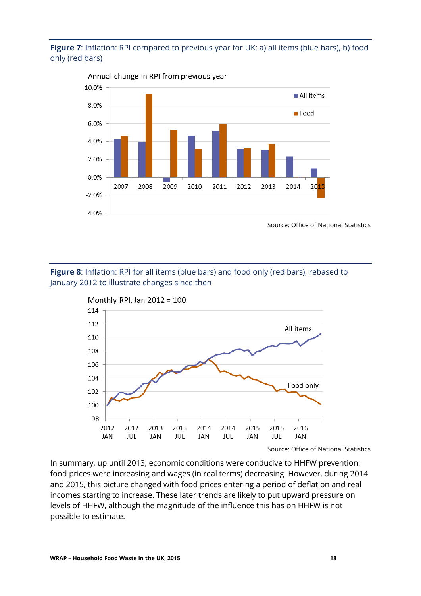#### <span id="page-18-0"></span>**Figure 7:** Inflation: RPI compared to previous year for UK: a) all items (blue bars), b) food only (red bars)



Annual change in RPI from previous year

Source: Office of National Statistics

<span id="page-18-1"></span>**Figure 8**: Inflation: RPI for all items (blue bars) and food only (red bars), rebased to January 2012 to illustrate changes since then



Source: Office of National Statistics

In summary, up until 2013, economic conditions were conducive to HHFW prevention: food prices were increasing and wages (in real terms) decreasing. However, during 2014 and 2015, this picture changed with food prices entering a period of deflation and real incomes starting to increase. These later trends are likely to put upward pressure on levels of HHFW, although the magnitude of the influence this has on HHFW is not possible to estimate.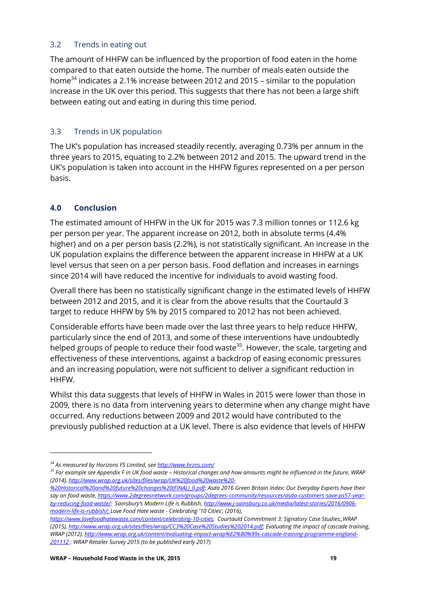#### <span id="page-19-0"></span>3.2 Trends in eating out

The amount of HHFW can be influenced by the proportion of food eaten in the home compared to that eaten outside the home. The number of meals eaten outside the home<sup>34</sup> indicates a 2.1% increase between 2012 and 2015 – similar to the population increase in the UK over this period. This suggests that there has not been a large shift between eating out and eating in during this time period.

## <span id="page-19-1"></span>3.3 Trends in UK population

The UK's population has increased steadily recently, averaging 0.73% per annum in the three years to 2015, equating to 2.2% between 2012 and 2015. The upward trend in the UK's population is taken into account in the HHFW figures represented on a per person basis.

## <span id="page-19-2"></span>**4.0 Conclusion**

 $\overline{\phantom{a}}$ 

The estimated amount of HHFW in the UK for 2015 was 7.3 million tonnes or 112.6 kg per person per year. The apparent increase on 2012, both in absolute terms (4.4% higher) and on a per person basis (2.2%), is not statistically significant. An increase in the UK population explains the difference between the apparent increase in HHFW at a UK level versus that seen on a per person basis. Food deflation and increases in earnings since 2014 will have reduced the incentive for individuals to avoid wasting food.

Overall there has been no statistically significant change in the estimated levels of HHFW between 2012 and 2015, and it is clear from the above results that the Courtauld 3 target to reduce HHFW by 5% by 2015 compared to 2012 has not been achieved.

Considerable efforts have been made over the last three years to help reduce HHFW, particularly since the end of 2013, and some of these interventions have undoubtedly helped groups of people to reduce their food waste<sup>35</sup>. However, the scale, targeting and effectiveness of these interventions, against a backdrop of easing economic pressures and an increasing population, were not sufficient to deliver a significant reduction in HHFW.

Whilst this data suggests that levels of HHFW in Wales in 2015 were lower than those in 2009, there is no data from intervening years to determine when any change might have occurred. Any reductions between 2009 and 2012 would have contributed to the previously published reduction at a UK level. There is also evidence that levels of HHFW

*<sup>34</sup> As measured by Horizons FS Limited, se[e http://www.hrzns.com/](http://www.hrzns.com/)*

*<sup>35</sup> For example see Appendix F in UK food waste – Historical changes and how amounts might be influenced in the future, WRAP (2014)[, http://www.wrap.org.uk/sites/files/wrap/UK%20food%20waste%20-](http://www.wrap.org.uk/sites/files/wrap/UK%20food%20waste%20-%20Historical%20and%20future%20changes%20(FINAL)_0.pdf)*

*[<sup>%20</sup>Historical%20and%20future%20changes%20\(FINAL\)\\_0.pdf;](http://www.wrap.org.uk/sites/files/wrap/UK%20food%20waste%20-%20Historical%20and%20future%20changes%20(FINAL)_0.pdf) Asda 2016 Green Britain Index: Our Everyday Experts have their say on food waste[, https://www.2degreesnetwork.com/groups/2degrees-community/resources/asda-customers-save-ps57-year](https://www.2degreesnetwork.com/groups/2degrees-community/resources/asda-customers-save-ps57-year-by-reducing-food-waste/)[by-reducing-food-waste/](https://www.2degreesnetwork.com/groups/2degrees-community/resources/asda-customers-save-ps57-year-by-reducing-food-waste/); Sainsbury's Modern Life is Rubbish[, http://www.j-sainsbury.co.uk/media/latest-stories/2016/0906](http://www.j-sainsbury.co.uk/media/latest-stories/2016/0906-modern-life-is-rubbish/) [modern-life-is-rubbish/;](http://www.j-sainsbury.co.uk/media/latest-stories/2016/0906-modern-life-is-rubbish/) Love Food Hate waste - Celebrating '10 Cities', (2016),* 

*[https://www.lovefoodhatewaste.com/content/celebrating-10-cities;](https://www.lovefoodhatewaste.com/content/celebrating-10-cities) Courtauld Commitment 3: Signatory Case Studies;,WRAP (2015)[, http://www.wrap.org.uk/sites/files/wrap/CC3%20Case%20Studies%202014.pdf;](http://www.wrap.org.uk/sites/files/wrap/CC3%20Case%20Studies%202014.pdf) Evaluating the impact of cascade training, WRAP (2012), [http://www.wrap.org.uk/content/evaluating-impact-wrap%E2%80%99s-cascade-training-programme-england-](http://www.wrap.org.uk/content/evaluating-impact-wrap%E2%80%99s-cascade-training-programme-england-201112)[201112](http://www.wrap.org.uk/content/evaluating-impact-wrap%E2%80%99s-cascade-training-programme-england-201112) ; WRAP Retailer Survey 2015 (to be published early 2017)*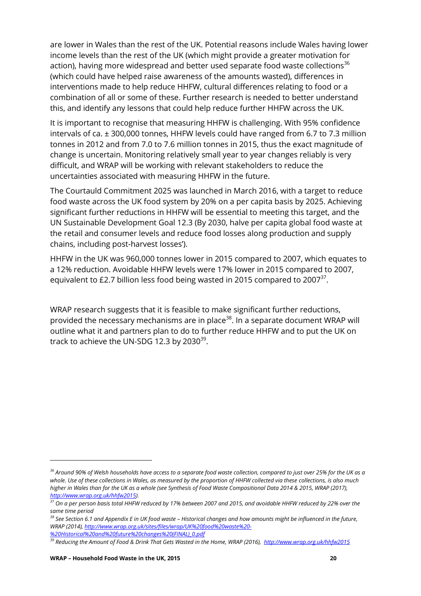are lower in Wales than the rest of the UK. Potential reasons include Wales having lower income levels than the rest of the UK (which might provide a greater motivation for action), having more widespread and better used separate food waste collections<sup>36</sup> (which could have helped raise awareness of the amounts wasted), differences in interventions made to help reduce HHFW, cultural differences relating to food or a combination of all or some of these. Further research is needed to better understand this, and identify any lessons that could help reduce further HHFW across the UK.

It is important to recognise that measuring HHFW is challenging. With 95% confidence intervals of ca. ± 300,000 tonnes, HHFW levels could have ranged from 6.7 to 7.3 million tonnes in 2012 and from 7.0 to 7.6 million tonnes in 2015, thus the exact magnitude of change is uncertain. Monitoring relatively small year to year changes reliably is very difficult, and WRAP will be working with relevant stakeholders to reduce the uncertainties associated with measuring HHFW in the future.

The Courtauld Commitment 2025 was launched in March 2016, with a target to reduce food waste across the UK food system by 20% on a per capita basis by 2025. Achieving significant further reductions in HHFW will be essential to meeting this target, and the UN Sustainable Development Goal 12.3 (By 2030, halve per capita global food waste at the retail and consumer levels and reduce food losses along production and supply chains, including post-harvest losses').

HHFW in the UK was 960,000 tonnes lower in 2015 compared to 2007, which equates to a 12% reduction. Avoidable HHFW levels were 17% lower in 2015 compared to 2007, equivalent to £2.7 billion less food being wasted in 2015 compared to 2007 $^{37}$ .

WRAP research suggests that it is feasible to make significant further reductions, provided the necessary mechanisms are in place<sup>38</sup>. In a separate document WRAP will outline what it and partners plan to do to further reduce HHFW and to put the UK on track to achieve the UN-SDG 12.3 by 2030 $^{\rm 39}.$ 

l

*<sup>36</sup> Around 90% of Welsh households have access to a separate food waste collection, compared to just over 25% for the UK as a whole. Use of these collections in Wales, as measured by the proportion of HHFW collected via these collections, is also much higher in Wales than for the UK as a whole (see Synthesis of Food Waste Compositional Data 2014 & 2015, WRAP (2017), http://www.wrap.org.uk/hhfw2015).*

*<sup>37</sup> On a per person basis total HHFW reduced by 17% between 2007 and 2015, and avoidable HHFW reduced by 22% over the same time period*

*<sup>38</sup> See Section 6.1 and Appendix E in UK food waste – Historical changes and how amounts might be influenced in the future, WRAP (2014)[, http://www.wrap.org.uk/sites/files/wrap/UK%20food%20waste%20-](http://www.wrap.org.uk/sites/files/wrap/UK%20food%20waste%20-%20Historical%20and%20future%20changes%20(FINAL)_0.pdf) [%20Historical%20and%20future%20changes%20\(FINAL\)\\_0.pdf](http://www.wrap.org.uk/sites/files/wrap/UK%20food%20waste%20-%20Historical%20and%20future%20changes%20(FINAL)_0.pdf)*

*<sup>39</sup> Reducing the Amount of Food & Drink That Gets Wasted in the Home, WRAP (2016), http://www.wrap.org.uk/hhfw2015*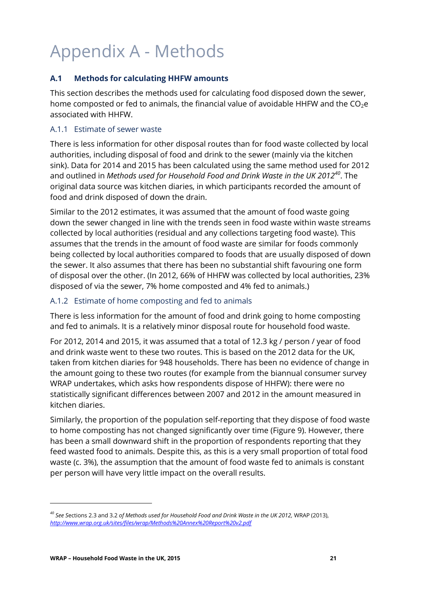# <span id="page-21-0"></span>Appendix A - Methods

#### <span id="page-21-1"></span>**A.1 Methods for calculating HHFW amounts**

This section describes the methods used for calculating food disposed down the sewer, home composted or fed to animals, the financial value of avoidable HHFW and the  $CO<sub>2</sub>e$ associated with HHFW.

#### <span id="page-21-2"></span>A.1.1 Estimate of sewer waste

There is less information for other disposal routes than for food waste collected by local authorities, including disposal of food and drink to the sewer (mainly via the kitchen sink). Data for 2014 and 2015 has been calculated using the same method used for 2012 and outlined in *Methods used for Household Food and Drink Waste in the UK 2012<sup>40</sup>*. The original data source was kitchen diaries, in which participants recorded the amount of food and drink disposed of down the drain.

Similar to the 2012 estimates, it was assumed that the amount of food waste going down the sewer changed in line with the trends seen in food waste within waste streams collected by local authorities (residual and any collections targeting food waste). This assumes that the trends in the amount of food waste are similar for foods commonly being collected by local authorities compared to foods that are usually disposed of down the sewer. It also assumes that there has been no substantial shift favouring one form of disposal over the other. (In 2012, 66% of HHFW was collected by local authorities, 23% disposed of via the sewer, 7% home composted and 4% fed to animals.)

#### <span id="page-21-3"></span>A.1.2 Estimate of home composting and fed to animals

There is less information for the amount of food and drink going to home composting and fed to animals. It is a relatively minor disposal route for household food waste.

For 2012, 2014 and 2015, it was assumed that a total of 12.3 kg / person / year of food and drink waste went to these two routes. This is based on the 2012 data for the UK, taken from kitchen diaries for 948 households. There has been no evidence of change in the amount going to these two routes (for example from the biannual consumer survey WRAP undertakes, which asks how respondents dispose of HHFW): there were no statistically significant differences between 2007 and 2012 in the amount measured in kitchen diaries.

Similarly, the proportion of the population self-reporting that they dispose of food waste to home composting has not changed significantly over time (Figure 9). However, there has been a small downward shift in the proportion of respondents reporting that they feed wasted food to animals. Despite this, as this is a very small proportion of total food waste (c. 3%), the assumption that the amount of food waste fed to animals is constant per person will have very little impact on the overall results.

 $\overline{\phantom{a}}$ 

*<sup>40</sup> See S*ections 2.3 and 3.2 *of Methods used for Household Food and Drink Waste in the UK 2012,* WRAP (2013), *<http://www.wrap.org.uk/sites/files/wrap/Methods%20Annex%20Report%20v2.pdf>*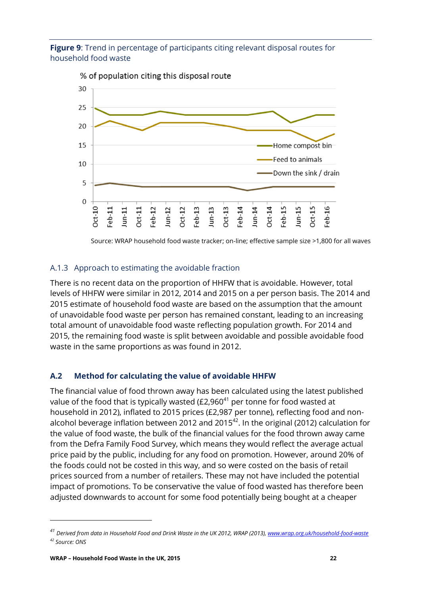**Figure 9**: Trend in percentage of participants citing relevant disposal routes for household food waste



Source: WRAP household food waste tracker; on-line; effective sample size >1,800 for all waves

#### <span id="page-22-0"></span>A.1.3 Approach to estimating the avoidable fraction

There is no recent data on the proportion of HHFW that is avoidable. However, total levels of HHFW were similar in 2012, 2014 and 2015 on a per person basis. The 2014 and 2015 estimate of household food waste are based on the assumption that the amount of unavoidable food waste per person has remained constant, leading to an increasing total amount of unavoidable food waste reflecting population growth. For 2014 and 2015, the remaining food waste is split between avoidable and possible avoidable food waste in the same proportions as was found in 2012.

#### <span id="page-22-1"></span>**A.2 Method for calculating the value of avoidable HHFW**

The financial value of food thrown away has been calculated using the latest published value of the food that is typically wasted  $(E2,960^{41})$  per tonne for food wasted at household in 2012), inflated to 2015 prices (£2,987 per tonne), reflecting food and nonalcohol beverage inflation between 2012 and 2015 $^{42}$ . In the original (2012) calculation for the value of food waste, the bulk of the financial values for the food thrown away came from the Defra Family Food Survey, which means they would reflect the average actual price paid by the public, including for any food on promotion. However, around 20% of the foods could not be costed in this way, and so were costed on the basis of retail prices sourced from a number of retailers. These may not have included the potential impact of promotions. To be conservative the value of food wasted has therefore been adjusted downwards to account for some food potentially being bought at a cheaper

 $\overline{\phantom{a}}$ 

*<sup>41</sup> Derived from data in Household Food and Drink Waste in the UK 2012, WRAP (2013), [www.wrap.org.uk/household-food-waste](http://www.wrap.org.uk/household-food-waste) <sup>42</sup> Source: ONS*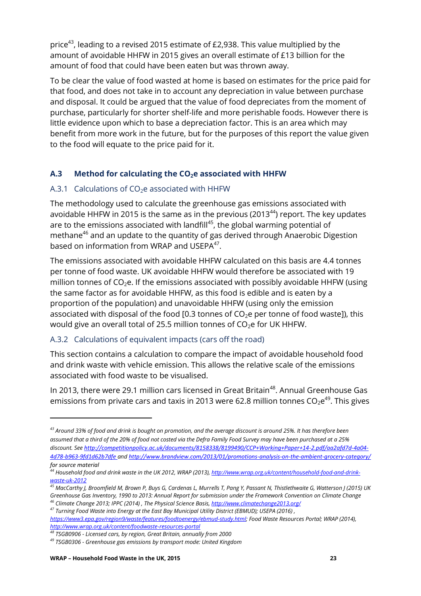price<sup>43</sup>, leading to a revised 2015 estimate of £2,938. This value multiplied by the amount of avoidable HHFW in 2015 gives an overall estimate of £13 billion for the amount of food that could have been eaten but was thrown away.

To be clear the value of food wasted at home is based on estimates for the price paid for that food, and does not take in to account any depreciation in value between purchase and disposal. It could be argued that the value of food depreciates from the moment of purchase, particularly for shorter shelf-life and more perishable foods. However there is little evidence upon which to base a depreciation factor. This is an area which may benefit from more work in the future, but for the purposes of this report the value given to the food will equate to the price paid for it.

### <span id="page-23-0"></span>**A.3 Method for calculating the CO2e associated with HHFW**

#### <span id="page-23-1"></span>A.3.1 Calculations of  $CO<sub>2</sub>e$  associated with HHFW

The methodology used to calculate the greenhouse gas emissions associated with avoidable HHFW in 2015 is the same as in the previous (2013 $44$ ) report. The key updates are to the emissions associated with landfill<sup>45</sup>, the global warming potential of methane<sup>46</sup> and an update to the quantity of gas derived through Anaerobic Digestion based on information from WRAP and USEPA<sup>47</sup>.

The emissions associated with avoidable HHFW calculated on this basis are 4.4 tonnes per tonne of food waste. UK avoidable HHFW would therefore be associated with 19 million tonnes of  $CO<sub>2</sub>e$ . If the emissions associated with possibly avoidable HHFW (using the same factor as for avoidable HHFW, as this food is edible and is eaten by a proportion of the population) and unavoidable HHFW (using only the emission associated with disposal of the food [0.3 tonnes of  $CO<sub>2</sub>e$  per tonne of food waste]), this would give an overall total of 25.5 million tonnes of  $CO<sub>2</sub>e$  for UK HHFW.

#### <span id="page-23-2"></span>A.3.2 Calculations of equivalent impacts (cars off the road)

This section contains a calculation to compare the impact of avoidable household food and drink waste with vehicle emission. This allows the relative scale of the emissions associated with food waste to be visualised.

In 2013, there were 29.1 million cars licensed in Great Britain<sup>48</sup>. Annual Greenhouse Gas emissions from private cars and taxis in 2013 were 62.8 million tonnes CO $_2$ e $^{49}$ . This gives

l

*<sup>43</sup> Around 33% of food and drink is bought on promotion, and the average discount is around 25%. It has therefore been assumed that a third of the 20% of food not costed via the Defra Family Food Survey may have been purchased at a 25% discount. See [http://competitionpolicy.ac.uk/documents/8158338/8199490/CCP+Working+Paper+14-2.pdf/aa2afd7d-4a04-](http://competitionpolicy.ac.uk/documents/8158338/8199490/CCP+Working+Paper+14-2.pdf/aa2afd7d-4a04-4d78-b963-9fd1d62b7dfe) [4d78-b963-9fd1d62b7dfe](http://competitionpolicy.ac.uk/documents/8158338/8199490/CCP+Working+Paper+14-2.pdf/aa2afd7d-4a04-4d78-b963-9fd1d62b7dfe) and <http://www.brandview.com/2013/01/promotions-analysis-on-the-ambient-grocery-category/> for source material*

*<sup>44</sup> Household food and drink waste in the UK 2012, WRAP (2013)[, http://www.wrap.org.uk/content/household-food-and-drink](http://www.wrap.org.uk/content/household-food-and-drink-waste-uk-2012)[waste-uk-2012](http://www.wrap.org.uk/content/household-food-and-drink-waste-uk-2012)*

*<sup>45</sup> MacCarthy J, Broomfield M, Brown P, Buys G, Cardenas L, Murrells T, Pang Y, Passant N, Thistlethwaite G, Watterson J (2015) UK Greenhouse Gas Inventory, 1990 to 2013: Annual Report for submission under the Framework Convention on Climate Change*

*<sup>46</sup> Climate Change 2013; IPPC (2014) , The Physical Science Basis, <http://www.climatechange2013.org/>*

*<sup>47</sup> Turning Food Waste into Energy at the East Bay Municipal Utility District (EBMUD); USEPA (2016) , [https://www3.epa.gov/region9/waste/features/foodtoenergy/ebmud-study.html;](https://www3.epa.gov/region9/waste/features/foodtoenergy/ebmud-study.html) Food Waste Resources Portal; WRAP (2014), <http://www.wrap.org.uk/content/foodwaste-resources-portal>*

*<sup>48</sup> TSGB0906 - Licensed cars, by region, Great Britain, annually from 2000*

*<sup>49</sup> TSGB0306 - Greenhouse gas emissions by transport mode: United Kingdom*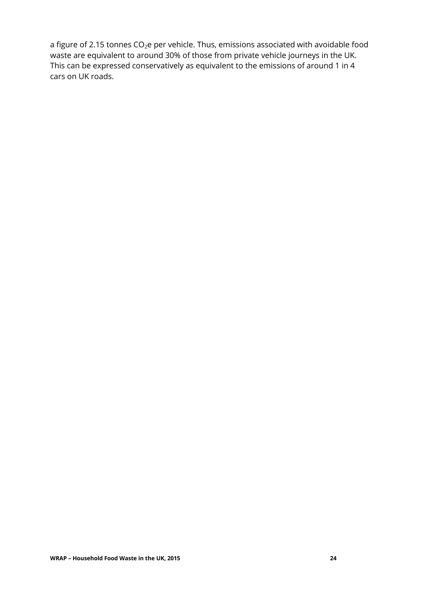a figure of 2.15 tonnes  $CO<sub>2</sub>e$  per vehicle. Thus, emissions associated with avoidable food waste are equivalent to around 30% of those from private vehicle journeys in the UK. This can be expressed conservatively as equivalent to the emissions of around 1 in 4 cars on UK roads.